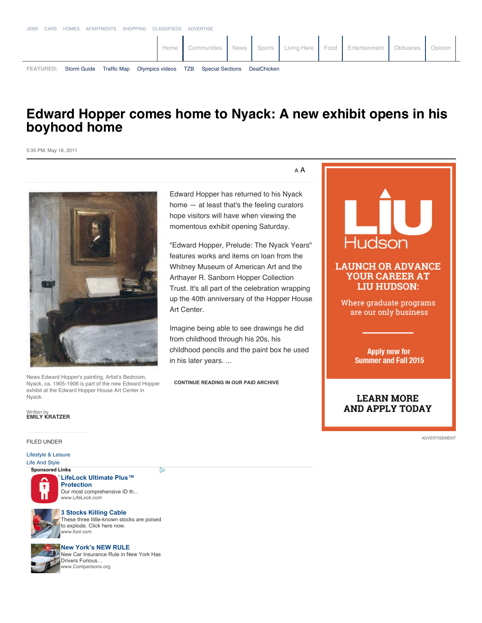# **Edward Hopper comes home to Nyack: A new exhibit opens in his boyhood home**

5:35 PM, May 18, 2011



News Edward Hopper's painting, Artist's Bedroom, Nyack, ca. 1905-1906 is part of the new Edward Hopper exhibit at the Edward Hopper House Art Center in Nyack.

## Written by **EMILY KRATZER**

FILED UNDER

### Lifestyle & Leisure

**Sponsored Links** Life And Style



**LifeLock Ultimate Plus™ Protection** Our most comprehensive ID th... www.LifeLock.com

চি

## **3 Stocks Killing Cable**



These three little-known stocks are poised to explode. Click here now. www.fool.com



**New York's NEW RULE** New Car Insurance Rule in New York Has Drivers Furious… www.Comparisons.org

A A

Edward Hopper has returned to his Nyack home — at least that's the feeling curators hope visitors will have when viewing the momentous exhibit opening Saturday.

"Edward Hopper, Prelude: The Nyack Years" features works and items on loan from the Whitney Museum of American Art and the Arthayer R. Sanborn Hopper Collection Trust. It's all part of the celebration wrapping up the 40th anniversary of the Hopper House Art Center.

Imagine being able to see drawings he did from childhood through his 20s, his childhood pencils and the paint box he used in his later years. ...

**CONTINUE READING IN OUR PAID ARCHIVE**



ADVERTISEMENT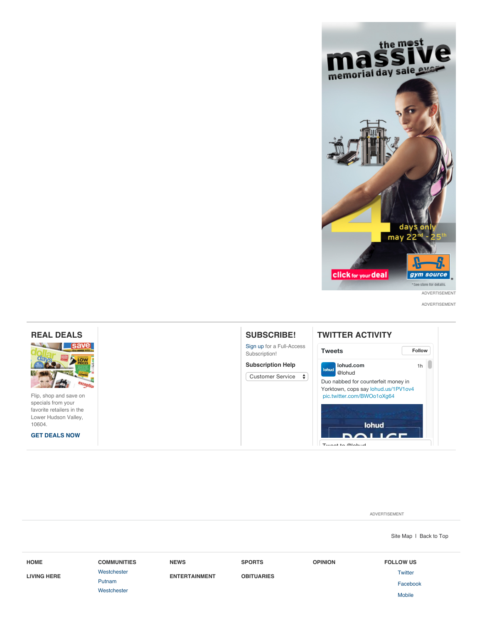

ADVERTISEMENT



ADVERTISEMENT

Site Map | Back to Top

| <b>HOME</b>        | <b>COMMUNITIES</b> | <b>NEWS</b>          | <b>SPORTS</b>     | <b>OPINION</b> | <b>FOLLOW US</b> |
|--------------------|--------------------|----------------------|-------------------|----------------|------------------|
| <b>LIVING HERE</b> | Westchester        | <b>ENTERTAINMENT</b> | <b>OBITUARIES</b> |                | <b>Twitter</b>   |
|                    | Putnam             |                      |                   |                | Facebook         |
|                    | Westchester        |                      |                   |                | <b>Mobile</b>    |